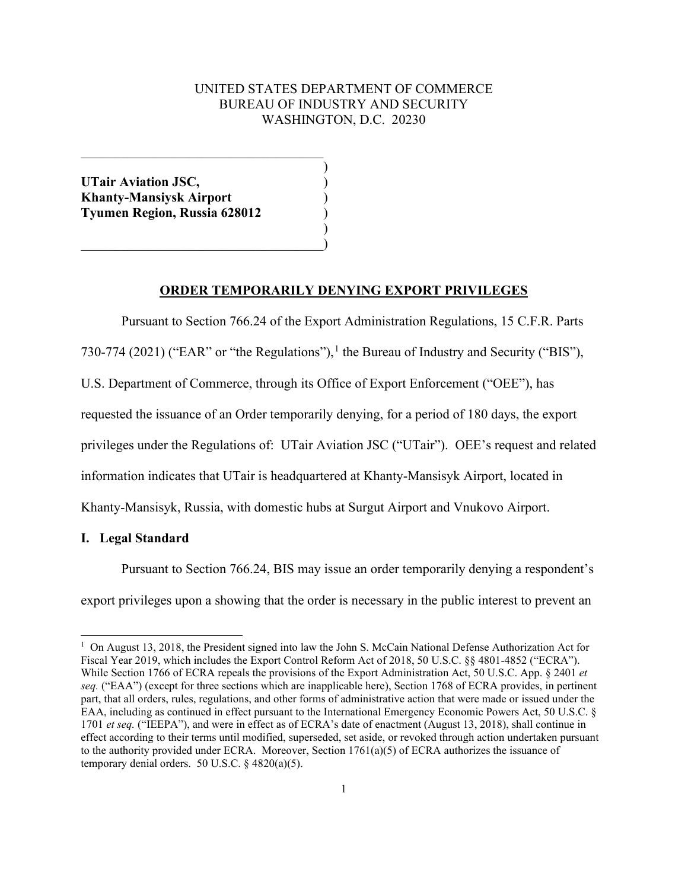# UNITED STATES DEPARTMENT OF COMMERCE BUREAU OF INDUSTRY AND SECURITY WASHINGTON, D.C. 20230

)

**UTair Aviation JSC,** ) **Khanty-Mansiysk Airport** ) **Tyumen Region, Russia 628012** )

 $\overline{\mathcal{L}}$  , and the state of the state of the state of the state of the state of the state of the state of the state of the state of the state of the state of the state of the state of the state of the state of the stat

 $\hspace{.5em}$   $\hspace{.5em}$   $\hspace{.5em}$   $\hspace{.5em}$   $\hspace{.5em}$   $\hspace{.5em}$   $\hspace{.5em}$   $\hspace{.5em}$   $\hspace{.5em}$   $\hspace{.5em}$   $\hspace{.5em}$   $\hspace{.5em}$   $\hspace{.5em}$   $\hspace{.5em}$   $\hspace{.5em}$   $\hspace{.5em}$   $\hspace{.5em}$   $\hspace{.5em}$   $\hspace{.5em}$   $\hspace{.5em}$ 

### **ORDER TEMPORARILY DENYING EXPORT PRIVILEGES**

Pursuant to Section 766.24 of the Export Administration Regulations, 15 C.F.R. Parts

 $)$ 

730-774 (202[1](#page-0-0)) ("EAR" or "the Regulations"), <sup>1</sup> the Bureau of Industry and Security ("BIS"),

U.S. Department of Commerce, through its Office of Export Enforcement ("OEE"), has

requested the issuance of an Order temporarily denying, for a period of 180 days, the export

privileges under the Regulations of: UTair Aviation JSC ("UTair"). OEE's request and related

information indicates that UTair is headquartered at Khanty-Mansisyk Airport, located in

Khanty-Mansisyk, Russia, with domestic hubs at Surgut Airport and Vnukovo Airport.

## **I. Legal Standard**

Pursuant to Section 766.24, BIS may issue an order temporarily denying a respondent's export privileges upon a showing that the order is necessary in the public interest to prevent an

<span id="page-0-0"></span><sup>&</sup>lt;sup>1</sup> On August 13, 2018, the President signed into law the John S. McCain National Defense Authorization Act for Fiscal Year 2019, which includes the Export Control Reform Act of 2018, 50 U.S.C. §§ 4801-4852 ("ECRA"). While Section 1766 of ECRA repeals the provisions of the Export Administration Act, 50 U.S.C. App. § 2401 *et seq.* ("EAA") (except for three sections which are inapplicable here), Section 1768 of ECRA provides, in pertinent part, that all orders, rules, regulations, and other forms of administrative action that were made or issued under the EAA, including as continued in effect pursuant to the International Emergency Economic Powers Act, 50 U.S.C. § 1701 *et seq.* ("IEEPA"), and were in effect as of ECRA's date of enactment (August 13, 2018), shall continue in effect according to their terms until modified, superseded, set aside, or revoked through action undertaken pursuant to the authority provided under ECRA. Moreover, Section 1761(a)(5) of ECRA authorizes the issuance of temporary denial orders. 50 U.S.C. § 4820(a)(5).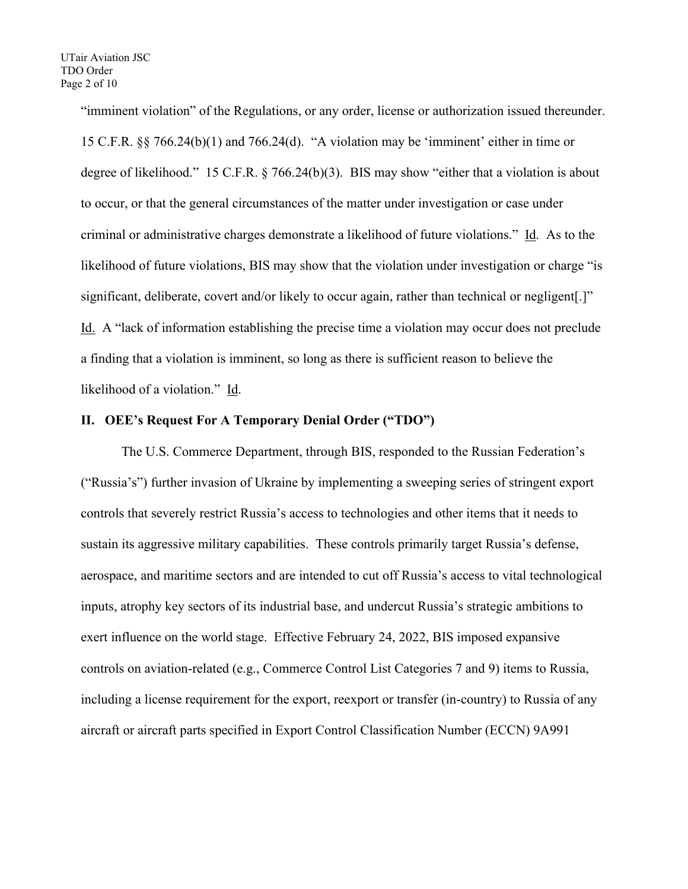"imminent violation" of the Regulations, or any order, license or authorization issued thereunder. 15 C.F.R. §§ 766.24(b)(1) and 766.24(d). "A violation may be 'imminent' either in time or degree of likelihood." 15 C.F.R. § 766.24(b)(3). BIS may show "either that a violation is about to occur, or that the general circumstances of the matter under investigation or case under criminal or administrative charges demonstrate a likelihood of future violations." Id. As to the likelihood of future violations, BIS may show that the violation under investigation or charge "is significant, deliberate, covert and/or likely to occur again, rather than technical or negligent[.]" Id. A "lack of information establishing the precise time a violation may occur does not preclude a finding that a violation is imminent, so long as there is sufficient reason to believe the likelihood of a violation." Id.

## **II. OEE's Request For A Temporary Denial Order ("TDO")**

The U.S. Commerce Department, through BIS, responded to the Russian Federation's ("Russia's") further invasion of Ukraine by implementing a sweeping series of stringent export controls that severely restrict Russia's access to technologies and other items that it needs to sustain its aggressive military capabilities. These controls primarily target Russia's defense, aerospace, and maritime sectors and are intended to cut off Russia's access to vital technological inputs, atrophy key sectors of its industrial base, and undercut Russia's strategic ambitions to exert influence on the world stage. Effective February 24, 2022, BIS imposed expansive controls on aviation-related (e.g., Commerce Control List Categories 7 and 9) items to Russia, including a license requirement for the export, reexport or transfer (in-country) to Russia of any aircraft or aircraft parts specified in Export Control Classification Number (ECCN) 9A991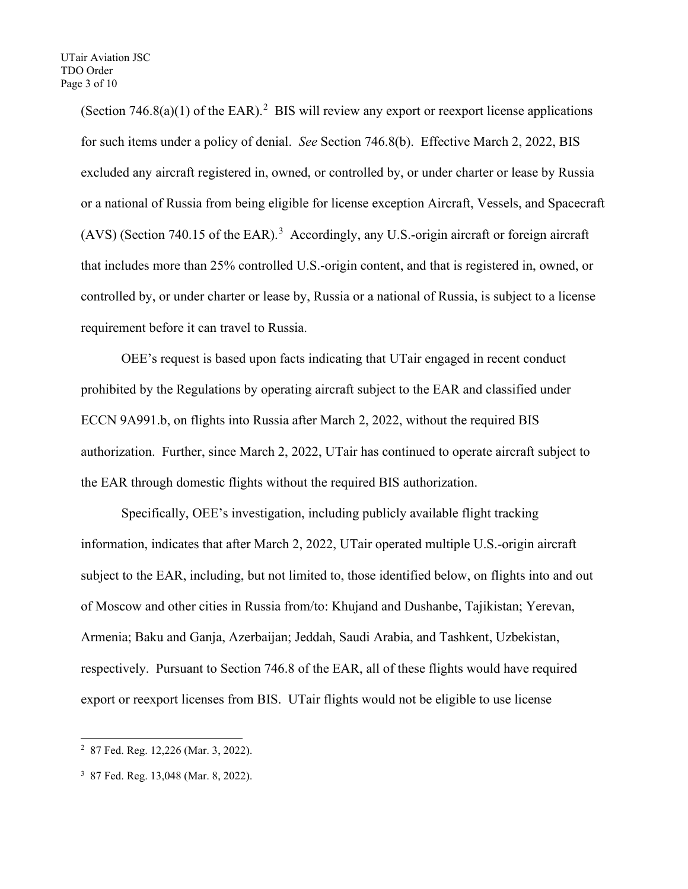(Section  $746.8(a)(1)$  of the EAR).<sup>[2](#page-2-0)</sup> BIS will review any export or reexport license applications for such items under a policy of denial. *See* Section 746.8(b). Effective March 2, 2022, BIS excluded any aircraft registered in, owned, or controlled by, or under charter or lease by Russia or a national of Russia from being eligible for license exception Aircraft, Vessels, and Spacecraft  $(AVS)$  (Section 740.15 of the EAR).<sup>[3](#page-2-1)</sup> Accordingly, any U.S.-origin aircraft or foreign aircraft that includes more than 25% controlled U.S.-origin content, and that is registered in, owned, or controlled by, or under charter or lease by, Russia or a national of Russia, is subject to a license requirement before it can travel to Russia.

OEE's request is based upon facts indicating that UTair engaged in recent conduct prohibited by the Regulations by operating aircraft subject to the EAR and classified under ECCN 9A991.b, on flights into Russia after March 2, 2022, without the required BIS authorization. Further, since March 2, 2022, UTair has continued to operate aircraft subject to the EAR through domestic flights without the required BIS authorization.

Specifically, OEE's investigation, including publicly available flight tracking information, indicates that after March 2, 2022, UTair operated multiple U.S.-origin aircraft subject to the EAR, including, but not limited to, those identified below, on flights into and out of Moscow and other cities in Russia from/to: Khujand and Dushanbe, Tajikistan; Yerevan, Armenia; Baku and Ganja, Azerbaijan; Jeddah, Saudi Arabia, and Tashkent, Uzbekistan, respectively. Pursuant to Section 746.8 of the EAR, all of these flights would have required export or reexport licenses from BIS. UTair flights would not be eligible to use license

<span id="page-2-0"></span><sup>2</sup> 87 Fed. Reg. 12,226 (Mar. 3, 2022).

<span id="page-2-1"></span><sup>3</sup> 87 Fed. Reg. 13,048 (Mar. 8, 2022).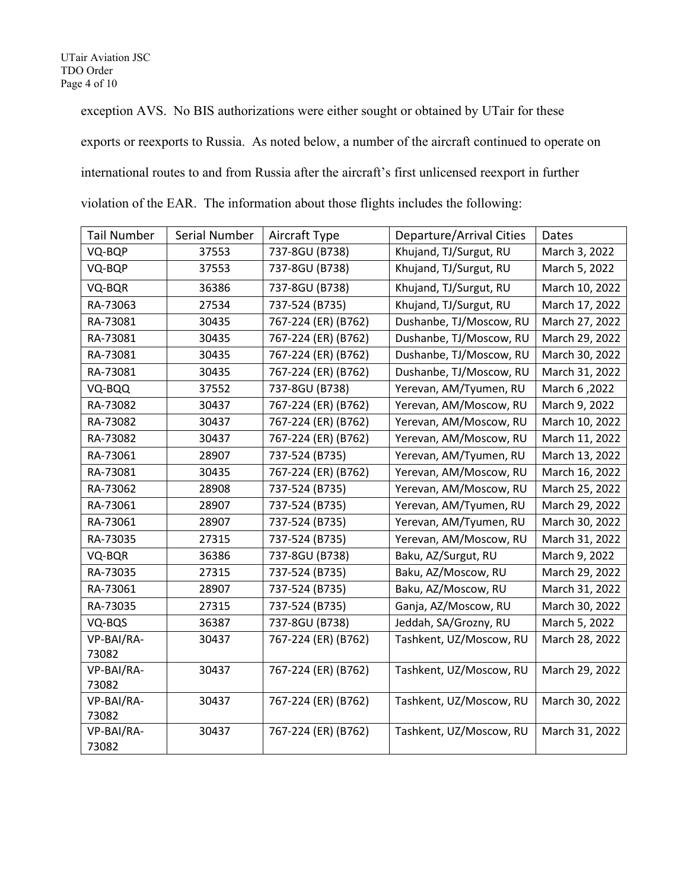exception AVS. No BIS authorizations were either sought or obtained by UTair for these exports or reexports to Russia. As noted below, a number of the aircraft continued to operate on international routes to and from Russia after the aircraft's first unlicensed reexport in further

| <b>Tail Number</b>  | Serial Number | Aircraft Type       | <b>Departure/Arrival Cities</b> | Dates          |
|---------------------|---------------|---------------------|---------------------------------|----------------|
| VQ-BQP              | 37553         | 737-8GU (B738)      | Khujand, TJ/Surgut, RU          | March 3, 2022  |
| VQ-BQP              | 37553         | 737-8GU (B738)      | Khujand, TJ/Surgut, RU          | March 5, 2022  |
| VQ-BQR              | 36386         | 737-8GU (B738)      | Khujand, TJ/Surgut, RU          | March 10, 2022 |
| RA-73063            | 27534         | 737-524 (B735)      | Khujand, TJ/Surgut, RU          | March 17, 2022 |
| RA-73081            | 30435         | 767-224 (ER) (B762) | Dushanbe, TJ/Moscow, RU         | March 27, 2022 |
| RA-73081            | 30435         | 767-224 (ER) (B762) | Dushanbe, TJ/Moscow, RU         | March 29, 2022 |
| RA-73081            | 30435         | 767-224 (ER) (B762) | Dushanbe, TJ/Moscow, RU         | March 30, 2022 |
| RA-73081            | 30435         | 767-224 (ER) (B762) | Dushanbe, TJ/Moscow, RU         | March 31, 2022 |
| VQ-BQQ              | 37552         | 737-8GU (B738)      | Yerevan, AM/Tyumen, RU          | March 6, 2022  |
| RA-73082            | 30437         | 767-224 (ER) (B762) | Yerevan, AM/Moscow, RU          | March 9, 2022  |
| RA-73082            | 30437         | 767-224 (ER) (B762) | Yerevan, AM/Moscow, RU          | March 10, 2022 |
| RA-73082            | 30437         | 767-224 (ER) (B762) | Yerevan, AM/Moscow, RU          | March 11, 2022 |
| RA-73061            | 28907         | 737-524 (B735)      | Yerevan, AM/Tyumen, RU          | March 13, 2022 |
| RA-73081            | 30435         | 767-224 (ER) (B762) | Yerevan, AM/Moscow, RU          | March 16, 2022 |
| RA-73062            | 28908         | 737-524 (B735)      | Yerevan, AM/Moscow, RU          | March 25, 2022 |
| RA-73061            | 28907         | 737-524 (B735)      | Yerevan, AM/Tyumen, RU          | March 29, 2022 |
| RA-73061            | 28907         | 737-524 (B735)      | Yerevan, AM/Tyumen, RU          | March 30, 2022 |
| RA-73035            | 27315         | 737-524 (B735)      | Yerevan, AM/Moscow, RU          | March 31, 2022 |
| VQ-BQR              | 36386         | 737-8GU (B738)      | Baku, AZ/Surgut, RU             | March 9, 2022  |
| RA-73035            | 27315         | 737-524 (B735)      | Baku, AZ/Moscow, RU             | March 29, 2022 |
| RA-73061            | 28907         | 737-524 (B735)      | Baku, AZ/Moscow, RU             | March 31, 2022 |
| RA-73035            | 27315         | 737-524 (B735)      | Ganja, AZ/Moscow, RU            | March 30, 2022 |
| VQ-BQS              | 36387         | 737-8GU (B738)      | Jeddah, SA/Grozny, RU           | March 5, 2022  |
| VP-BAI/RA-          | 30437         | 767-224 (ER) (B762) | Tashkent, UZ/Moscow, RU         | March 28, 2022 |
| 73082               |               |                     |                                 |                |
| VP-BAI/RA-          | 30437         | 767-224 (ER) (B762) | Tashkent, UZ/Moscow, RU         | March 29, 2022 |
| 73082               |               |                     |                                 |                |
| VP-BAI/RA-          | 30437         | 767-224 (ER) (B762) | Tashkent, UZ/Moscow, RU         | March 30, 2022 |
| 73082               |               |                     |                                 |                |
| VP-BAI/RA-<br>73082 | 30437         | 767-224 (ER) (B762) | Tashkent, UZ/Moscow, RU         | March 31, 2022 |
|                     |               |                     |                                 |                |

violation of the EAR. The information about those flights includes the following: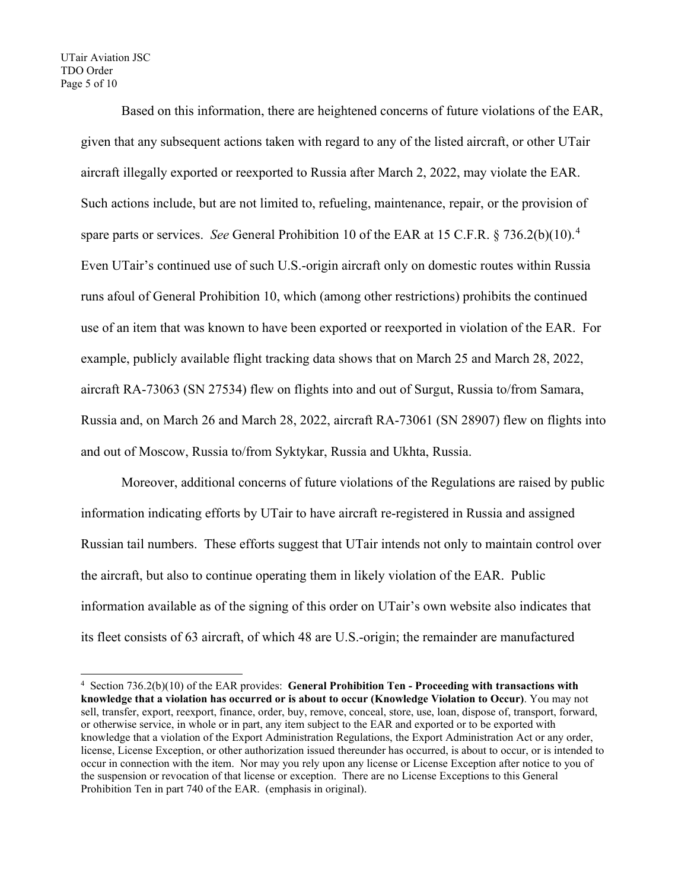#### UTair Aviation JSC TDO Order Page 5 of 10

Based on this information, there are heightened concerns of future violations of the EAR, given that any subsequent actions taken with regard to any of the listed aircraft, or other UTair aircraft illegally exported or reexported to Russia after March 2, 2022, may violate the EAR. Such actions include, but are not limited to, refueling, maintenance, repair, or the provision of spare parts or services. *See* General Prohibition 10 of the EAR at 15 C.F.R. § 736.2(b)(10). [4](#page-4-0) Even UTair's continued use of such U.S.-origin aircraft only on domestic routes within Russia runs afoul of General Prohibition 10, which (among other restrictions) prohibits the continued use of an item that was known to have been exported or reexported in violation of the EAR. For example, publicly available flight tracking data shows that on March 25 and March 28, 2022, aircraft RA-73063 (SN 27534) flew on flights into and out of Surgut, Russia to/from Samara, Russia and, on March 26 and March 28, 2022, aircraft RA-73061 (SN 28907) flew on flights into and out of Moscow, Russia to/from Syktykar, Russia and Ukhta, Russia.

Moreover, additional concerns of future violations of the Regulations are raised by public information indicating efforts by UTair to have aircraft re-registered in Russia and assigned Russian tail numbers. These efforts suggest that UTair intends not only to maintain control over the aircraft, but also to continue operating them in likely violation of the EAR. Public information available as of the signing of this order on UTair's own website also indicates that its fleet consists of 63 aircraft, of which 48 are U.S.-origin; the remainder are manufactured

<span id="page-4-0"></span><sup>4</sup> Section 736.2(b)(10) of the EAR provides: **General Prohibition Ten - Proceeding with transactions with knowledge that a violation has occurred or is about to occur (Knowledge Violation to Occur)**. You may not sell, transfer, export, reexport, finance, order, buy, remove, conceal, store, use, loan, dispose of, transport, forward, or otherwise service, in whole or in part, any item subject to the EAR and exported or to be exported with knowledge that a violation of the Export Administration Regulations, the Export Administration Act or any order, license, License Exception, or other authorization issued thereunder has occurred, is about to occur, or is intended to occur in connection with the item. Nor may you rely upon any license or License Exception after notice to you of the suspension or revocation of that license or exception. There are no License Exceptions to this General Prohibition Ten in part 740 of the EAR. (emphasis in original).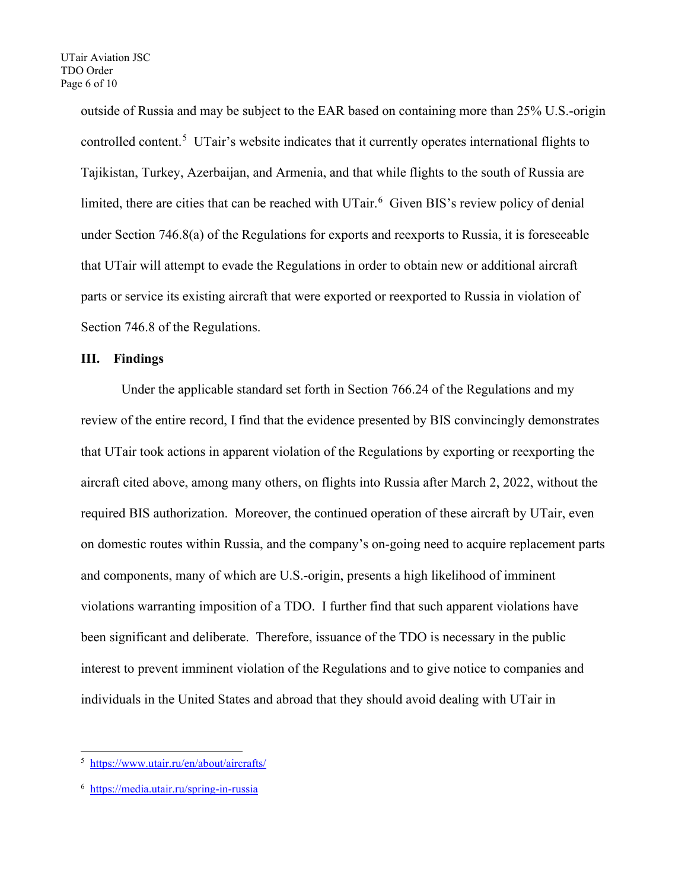outside of Russia and may be subject to the EAR based on containing more than 25% U.S.-origin controlled content.<sup>[5](#page-5-0)</sup> UTair's website indicates that it currently operates international flights to Tajikistan, Turkey, Azerbaijan, and Armenia, and that while flights to the south of Russia are limited, there are cities that can be reached with UTair.<sup>[6](#page-5-1)</sup> Given BIS's review policy of denial under Section 746.8(a) of the Regulations for exports and reexports to Russia, it is foreseeable that UTair will attempt to evade the Regulations in order to obtain new or additional aircraft parts or service its existing aircraft that were exported or reexported to Russia in violation of Section 746.8 of the Regulations.

### **III. Findings**

Under the applicable standard set forth in Section 766.24 of the Regulations and my review of the entire record, I find that the evidence presented by BIS convincingly demonstrates that UTair took actions in apparent violation of the Regulations by exporting or reexporting the aircraft cited above, among many others, on flights into Russia after March 2, 2022, without the required BIS authorization. Moreover, the continued operation of these aircraft by UTair, even on domestic routes within Russia, and the company's on-going need to acquire replacement parts and components, many of which are U.S.-origin, presents a high likelihood of imminent violations warranting imposition of a TDO. I further find that such apparent violations have been significant and deliberate. Therefore, issuance of the TDO is necessary in the public interest to prevent imminent violation of the Regulations and to give notice to companies and individuals in the United States and abroad that they should avoid dealing with UTair in

<span id="page-5-0"></span><sup>5</sup> <https://www.utair.ru/en/about/aircrafts/>

<span id="page-5-1"></span><sup>6</sup> https://media.utair.ru/spring-in-russia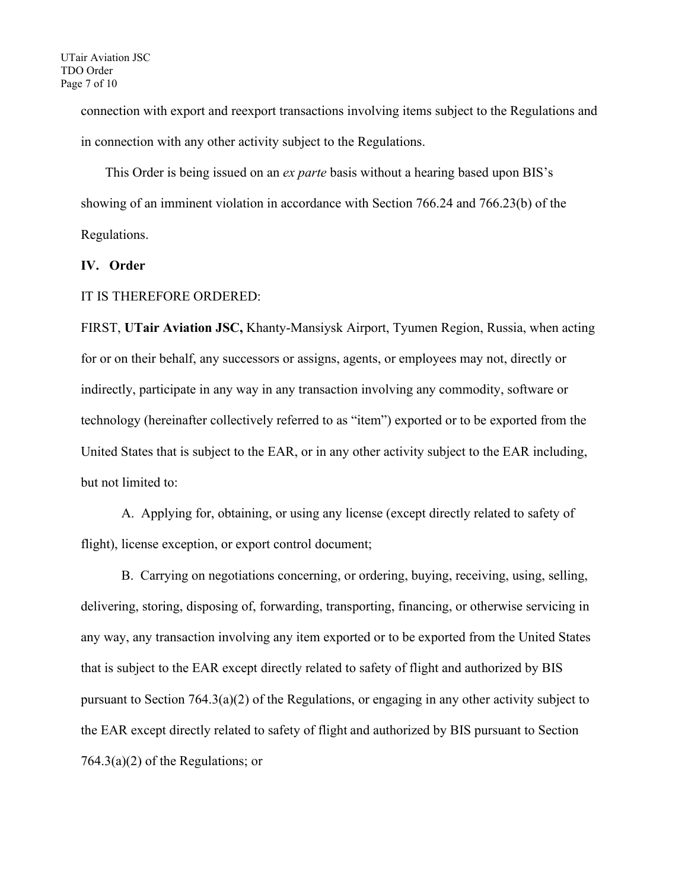connection with export and reexport transactions involving items subject to the Regulations and in connection with any other activity subject to the Regulations.

This Order is being issued on an *ex parte* basis without a hearing based upon BIS's showing of an imminent violation in accordance with Section 766.24 and 766.23(b) of the Regulations.

## **IV. Order**

### IT IS THEREFORE ORDERED:

FIRST, **UTair Aviation JSC,** Khanty-Mansiysk Airport, Tyumen Region, Russia, when acting for or on their behalf, any successors or assigns, agents, or employees may not, directly or indirectly, participate in any way in any transaction involving any commodity, software or technology (hereinafter collectively referred to as "item") exported or to be exported from the United States that is subject to the EAR, or in any other activity subject to the EAR including, but not limited to:

A. Applying for, obtaining, or using any license (except directly related to safety of flight), license exception, or export control document;

B. Carrying on negotiations concerning, or ordering, buying, receiving, using, selling, delivering, storing, disposing of, forwarding, transporting, financing, or otherwise servicing in any way, any transaction involving any item exported or to be exported from the United States that is subject to the EAR except directly related to safety of flight and authorized by BIS pursuant to Section 764.3(a)(2) of the Regulations, or engaging in any other activity subject to the EAR except directly related to safety of flight and authorized by BIS pursuant to Section 764.3(a)(2) of the Regulations; or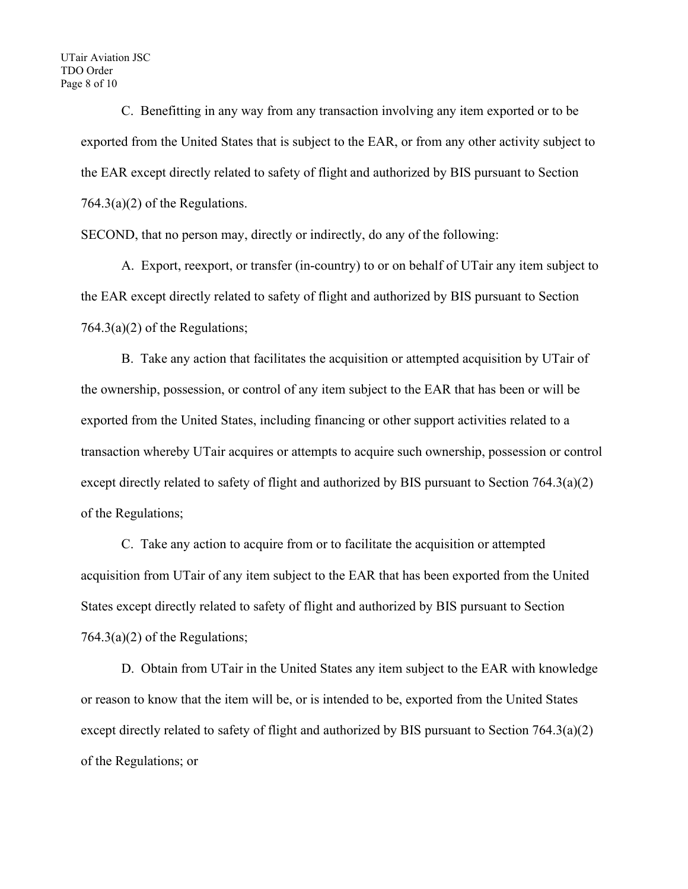C. Benefitting in any way from any transaction involving any item exported or to be exported from the United States that is subject to the EAR, or from any other activity subject to the EAR except directly related to safety of flight and authorized by BIS pursuant to Section  $764.3(a)(2)$  of the Regulations.

SECOND, that no person may, directly or indirectly, do any of the following:

A. Export, reexport, or transfer (in-country) to or on behalf of UTair any item subject to the EAR except directly related to safety of flight and authorized by BIS pursuant to Section  $764.3(a)(2)$  of the Regulations;

B. Take any action that facilitates the acquisition or attempted acquisition by UTair of the ownership, possession, or control of any item subject to the EAR that has been or will be exported from the United States, including financing or other support activities related to a transaction whereby UTair acquires or attempts to acquire such ownership, possession or control except directly related to safety of flight and authorized by BIS pursuant to Section 764.3(a)(2) of the Regulations;

C. Take any action to acquire from or to facilitate the acquisition or attempted acquisition from UTair of any item subject to the EAR that has been exported from the United States except directly related to safety of flight and authorized by BIS pursuant to Section  $764.3(a)(2)$  of the Regulations;

D. Obtain from UTair in the United States any item subject to the EAR with knowledge or reason to know that the item will be, or is intended to be, exported from the United States except directly related to safety of flight and authorized by BIS pursuant to Section 764.3(a)(2) of the Regulations; or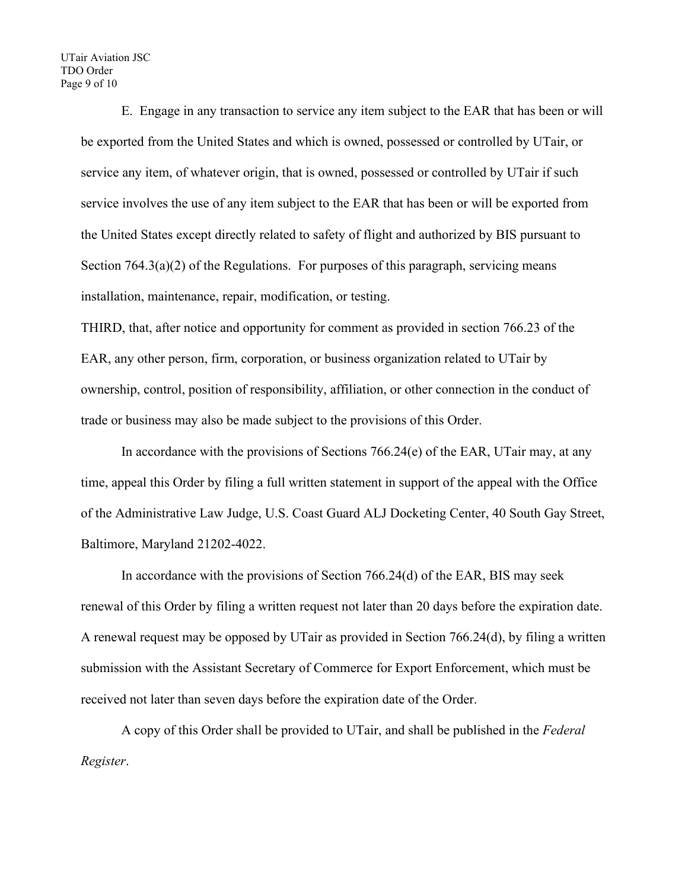UTair Aviation JSC TDO Order Page 9 of 10

> E. Engage in any transaction to service any item subject to the EAR that has been or will be exported from the United States and which is owned, possessed or controlled by UTair, or service any item, of whatever origin, that is owned, possessed or controlled by UTair if such service involves the use of any item subject to the EAR that has been or will be exported from the United States except directly related to safety of flight and authorized by BIS pursuant to Section 764.3(a)(2) of the Regulations. For purposes of this paragraph, servicing means installation, maintenance, repair, modification, or testing.

THIRD, that, after notice and opportunity for comment as provided in section 766.23 of the EAR, any other person, firm, corporation, or business organization related to UTair by ownership, control, position of responsibility, affiliation, or other connection in the conduct of trade or business may also be made subject to the provisions of this Order.

In accordance with the provisions of Sections  $766.24(e)$  of the EAR, UTair may, at any time, appeal this Order by filing a full written statement in support of the appeal with the Office of the Administrative Law Judge, U.S. Coast Guard ALJ Docketing Center, 40 South Gay Street, Baltimore, Maryland 21202-4022.

In accordance with the provisions of Section 766.24(d) of the EAR, BIS may seek renewal of this Order by filing a written request not later than 20 days before the expiration date. A renewal request may be opposed by UTair as provided in Section 766.24(d), by filing a written submission with the Assistant Secretary of Commerce for Export Enforcement, which must be received not later than seven days before the expiration date of the Order.

A copy of this Order shall be provided to UTair, and shall be published in the *Federal Register*.